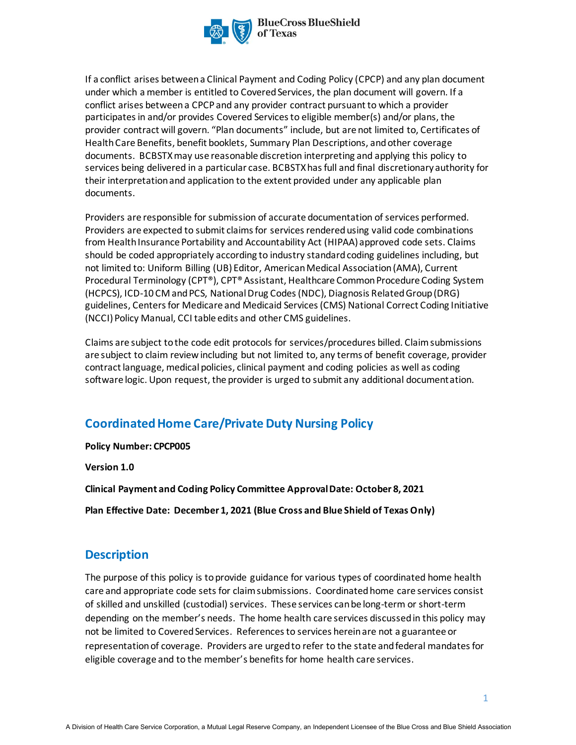

If a conflict arises between a Clinical Payment and Coding Policy (CPCP) and any plan document under which a member is entitled to Covered Services, the plan document will govern. If a conflict arises between a CPCP and any provider contract pursuant to which a provider participates in and/or provides Covered Services to eligible member(s) and/or plans, the provider contract will govern. "Plan documents" include, but are not limited to, Certificates of Health Care Benefits, benefit booklets, Summary Plan Descriptions, and other coverage documents. BCBSTXmay use reasonable discretion interpreting and applying this policy to services being delivered in a particular case. BCBSTXhas full and final discretionary authority for their interpretation and application to the extent provided under any applicable plan documents.

Providers are responsible for submission of accurate documentation of services performed. Providers are expected to submit claims for services rendered using valid code combinations from Health Insurance Portability and Accountability Act (HIPAA) approved code sets. Claims should be coded appropriately according to industry standard coding guidelines including, but not limited to: Uniform Billing (UB) Editor, American Medical Association (AMA), Current Procedural Terminology (CPT®), CPT® Assistant, Healthcare Common Procedure Coding System (HCPCS), ICD-10 CM and PCS, National Drug Codes (NDC), Diagnosis Related Group (DRG) guidelines, Centers for Medicare and Medicaid Services (CMS) National Correct Coding Initiative (NCCI) Policy Manual, CCI table edits and other CMS guidelines.

Claims are subject to the code edit protocols for services/procedures billed. Claim submissions are subject to claim review including but not limited to, any terms of benefit coverage, provider contract language, medical policies, clinical payment and coding policies as well as coding software logic. Upon request, the provider is urged to submit any additional documentation.

# **Coordinated Home Care/Private Duty Nursing Policy**

**Policy Number: CPCP005**

**Version 1.0** 

**Clinical Payment and Coding Policy Committee Approval Date: October 8, 2021**

**Plan Effective Date: December 1, 2021 (Blue Cross and Blue Shield of Texas Only)**

## **Description**

The purpose of this policy is to provide guidance for various types of coordinated home health care and appropriate code sets for claim submissions. Coordinated home care services consist of skilled and unskilled (custodial) services. These services can be long-term or short-term depending on the member's needs. The home health care services discussed in this policy may not be limited to Covered Services. References to services herein are not a guarantee or representation of coverage. Providers are urged to refer to the state and federal mandates for eligible coverage and to the member's benefits for home health care services.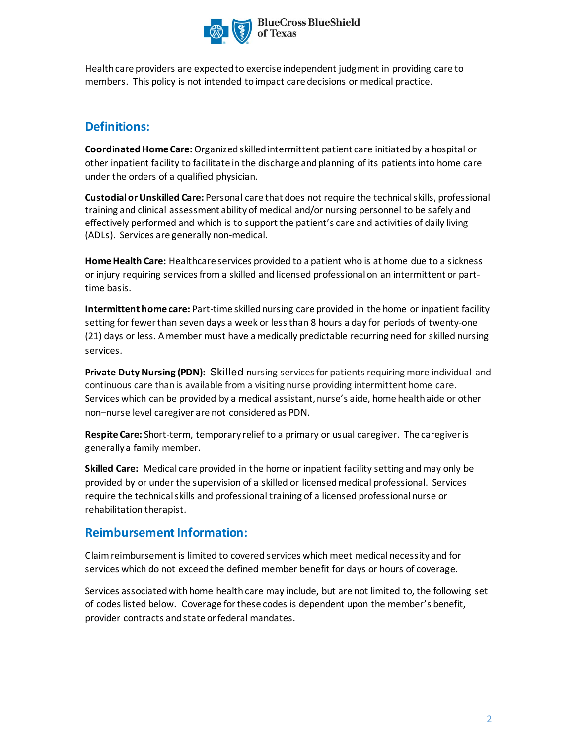

Health care providers are expected to exercise independent judgment in providing care to members. This policy is not intended to impact care decisions or medical practice.

# **Definitions:**

**Coordinated Home Care:** Organized skilled intermittent patient care initiated by a hospital or other inpatient facility to facilitate in the discharge and planning of its patientsinto home care under the orders of a qualified physician.

**Custodial or Unskilled Care:** Personal care that does not require the technical skills, professional training and clinical assessment ability of medical and/or nursing personnel to be safely and effectively performed and which is to support the patient's care and activities of daily living (ADLs). Services are generally non-medical.

**Home Health Care:** Healthcare services provided to a patient who is at home due to a sickness or injury requiring services from a skilled and licensed professional on an intermittent or parttime basis.

**Intermittent home care:** Part-time skilled nursing care provided in the home or inpatient facility setting for fewer than seven days a week or less than 8 hours a day for periods of twenty-one (21) days or less. A member must have a medically predictable recurring need for skilled nursing services.

Private Duty Nursing (PDN): Skilled nursing services for patients requiring more individual and continuous care than is available from a visiting nurse providing intermittent home care. Services which can be provided by a medical assistant, nurse's aide, home health aide or other non–nurse level caregiver are not consideredas PDN.

**Respite Care:** Short-term, temporary relief to a primary or usual caregiver. The caregiver is generally a family member.

**Skilled Care:** Medical care provided in the home or inpatient facility setting and may only be provided by or under the supervision of a skilled or licensed medical professional. Services require the technical skills and professional training of a licensed professional nurse or rehabilitation therapist.

## **Reimbursement Information:**

Claim reimbursement is limited to covered services which meet medical necessity and for services which do not exceed the defined member benefit for days or hours of coverage.

Services associated with home health care may include, but are not limited to, the following set of codes listed below. Coverage for these codes is dependent upon the member's benefit, provider contracts and state or federal mandates.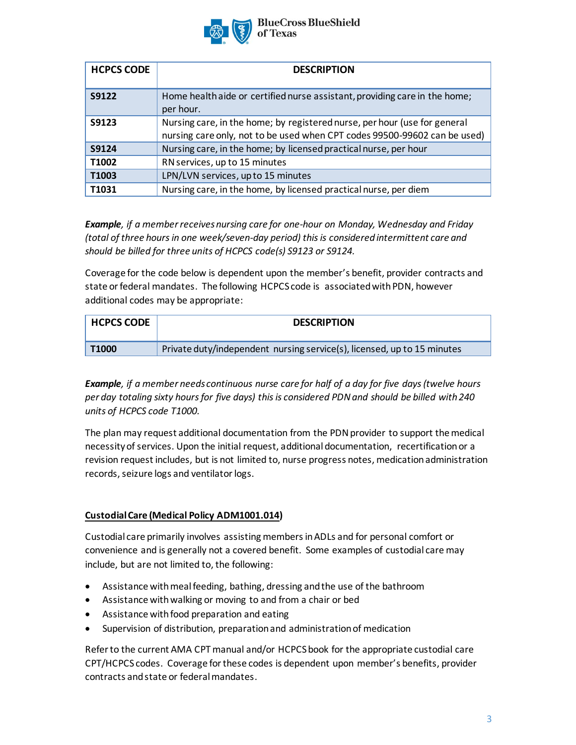

**BlueCross BlueShield** 

| <b>HCPCS CODE</b> | <b>DESCRIPTION</b>                                                                                                                                     |
|-------------------|--------------------------------------------------------------------------------------------------------------------------------------------------------|
| S9122             | Home health aide or certified nurse assistant, providing care in the home;<br>per hour.                                                                |
| S9123             | Nursing care, in the home; by registered nurse, per hour (use for general<br>nursing care only, not to be used when CPT codes 99500-99602 can be used) |
| S9124             | Nursing care, in the home; by licensed practical nurse, per hour                                                                                       |
| T1002             | RN services, up to 15 minutes                                                                                                                          |
| T1003             | LPN/LVN services, up to 15 minutes                                                                                                                     |
| T1031             | Nursing care, in the home, by licensed practical nurse, per diem                                                                                       |

*Example, if a member receives nursing care for one-hour on Monday, Wednesday and Friday (total of three hours in one week/seven-day period) this is considered intermittent care and should be billed for three units of HCPCS code(s) S9123 or S9124.* 

Coverage for the code below is dependent upon the member's benefit, provider contracts and state or federal mandates. The following HCPCS code is associated with PDN, however additional codes may be appropriate:

| <b>HCPCS CODE</b> | <b>DESCRIPTION</b>                                                      |
|-------------------|-------------------------------------------------------------------------|
| T1000             | Private duty/independent nursing service(s), licensed, up to 15 minutes |

*Example, if a member needs continuous nurse care for half of a day for five days (twelve hours per day totaling sixty hours for five days) this is considered PDN and should be billed with 240 units of HCPCS code T1000.* 

The plan may request additional documentation from the PDN provider to support the medical necessity of services. Upon the initial request, additional documentation, recertification or a revision request includes, but is not limited to, nurse progress notes, medication administration records, seizure logs and ventilator logs.

### **Custodial Care (Medical Policy ADM1001.014)**

Custodial care primarily involves assisting membersin ADLs and for personal comfort or convenience and is generally not a covered benefit. Some examples of custodial care may include, but are not limited to, the following:

- Assistance with meal feeding, bathing, dressing and the use of the bathroom
- Assistance withwalking or moving to and from a chair or bed
- Assistance with food preparation and eating
- Supervision of distribution, preparation and administration of medication

Refer to the current AMA CPT manual and/or HCPCS book for the appropriate custodial care CPT/HCPCS codes. Coverage for these codes is dependent upon member's benefits, provider contracts and state or federal mandates.